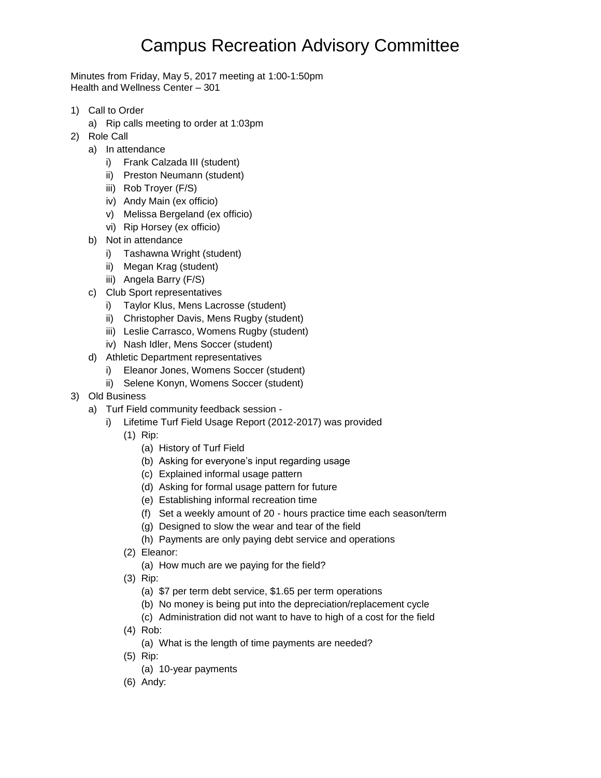# Campus Recreation Advisory Committee

Minutes from Friday, May 5, 2017 meeting at 1:00-1:50pm Health and Wellness Center – 301

- 1) Call to Order
	- a) Rip calls meeting to order at 1:03pm
- 2) Role Call
	- a) In attendance
		- i) Frank Calzada III (student)
		- ii) Preston Neumann (student)
		- iii) Rob Troyer (F/S)
		- iv) Andy Main (ex officio)
		- v) Melissa Bergeland (ex officio)
		- vi) Rip Horsey (ex officio)
	- b) Not in attendance
		- i) Tashawna Wright (student)
		- ii) Megan Krag (student)
		- iii) Angela Barry (F/S)
	- c) Club Sport representatives
		- i) Taylor Klus, Mens Lacrosse (student)
		- ii) Christopher Davis, Mens Rugby (student)
		- iii) Leslie Carrasco, Womens Rugby (student)
		- iv) Nash Idler, Mens Soccer (student)
	- d) Athletic Department representatives
		- i) Eleanor Jones, Womens Soccer (student)
		- ii) Selene Konyn, Womens Soccer (student)
- 3) Old Business
	- a) Turf Field community feedback session
		- i) Lifetime Turf Field Usage Report (2012-2017) was provided
			- (1) Rip:
				- (a) History of Turf Field
				- (b) Asking for everyone's input regarding usage
				- (c) Explained informal usage pattern
				- (d) Asking for formal usage pattern for future
				- (e) Establishing informal recreation time
				- (f) Set a weekly amount of 20 hours practice time each season/term
				- (g) Designed to slow the wear and tear of the field
				- (h) Payments are only paying debt service and operations
			- (2) Eleanor:
				- (a) How much are we paying for the field?
			- (3) Rip:
				- (a) \$7 per term debt service, \$1.65 per term operations
				- (b) No money is being put into the depreciation/replacement cycle
				- (c) Administration did not want to have to high of a cost for the field
			- (4) Rob:
				- (a) What is the length of time payments are needed?
			- (5) Rip:
				- (a) 10-year payments
			- (6) Andy: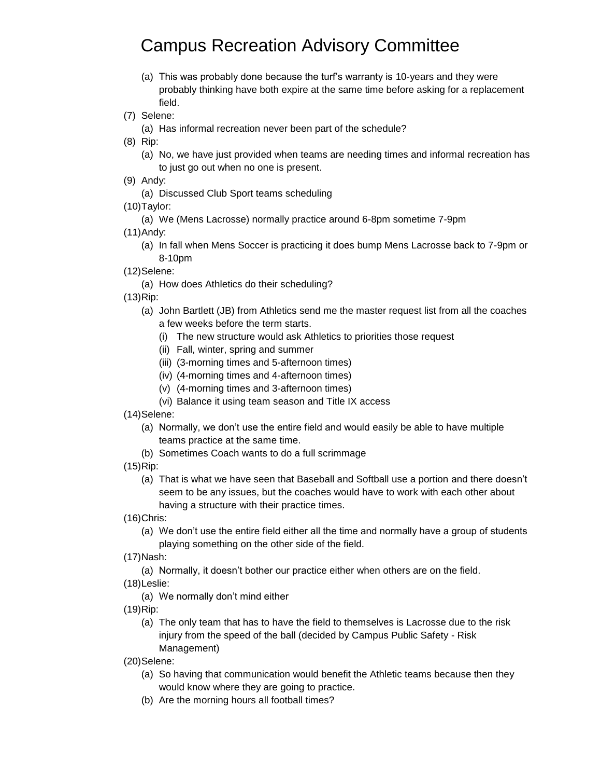## Campus Recreation Advisory Committee

- (a) This was probably done because the turf's warranty is 10-years and they were probably thinking have both expire at the same time before asking for a replacement field.
- (7) Selene:
	- (a) Has informal recreation never been part of the schedule?
- (8) Rip:
	- (a) No, we have just provided when teams are needing times and informal recreation has to just go out when no one is present.
- (9) Andy:
	- (a) Discussed Club Sport teams scheduling
- (10)Taylor:
	- (a) We (Mens Lacrosse) normally practice around 6-8pm sometime 7-9pm
- (11)Andy:
	- (a) In fall when Mens Soccer is practicing it does bump Mens Lacrosse back to 7-9pm or 8-10pm
- (12)Selene:
	- (a) How does Athletics do their scheduling?

(13)Rip:

- (a) John Bartlett (JB) from Athletics send me the master request list from all the coaches a few weeks before the term starts.
	- (i) The new structure would ask Athletics to priorities those request
	- (ii) Fall, winter, spring and summer
	- (iii) (3-morning times and 5-afternoon times)
	- (iv) (4-morning times and 4-afternoon times)
	- (v) (4-morning times and 3-afternoon times)
	- (vi) Balance it using team season and Title IX access

(14)Selene:

- (a) Normally, we don't use the entire field and would easily be able to have multiple teams practice at the same time.
- (b) Sometimes Coach wants to do a full scrimmage
- (15)Rip:
	- (a) That is what we have seen that Baseball and Softball use a portion and there doesn't seem to be any issues, but the coaches would have to work with each other about having a structure with their practice times.
- (16)Chris:
	- (a) We don't use the entire field either all the time and normally have a group of students playing something on the other side of the field.

(17)Nash:

- (a) Normally, it doesn't bother our practice either when others are on the field.
- (18)Leslie:
	- (a) We normally don't mind either
- (19)Rip:
	- (a) The only team that has to have the field to themselves is Lacrosse due to the risk injury from the speed of the ball (decided by Campus Public Safety - Risk Management)
- (20)Selene:
	- (a) So having that communication would benefit the Athletic teams because then they would know where they are going to practice.
	- (b) Are the morning hours all football times?